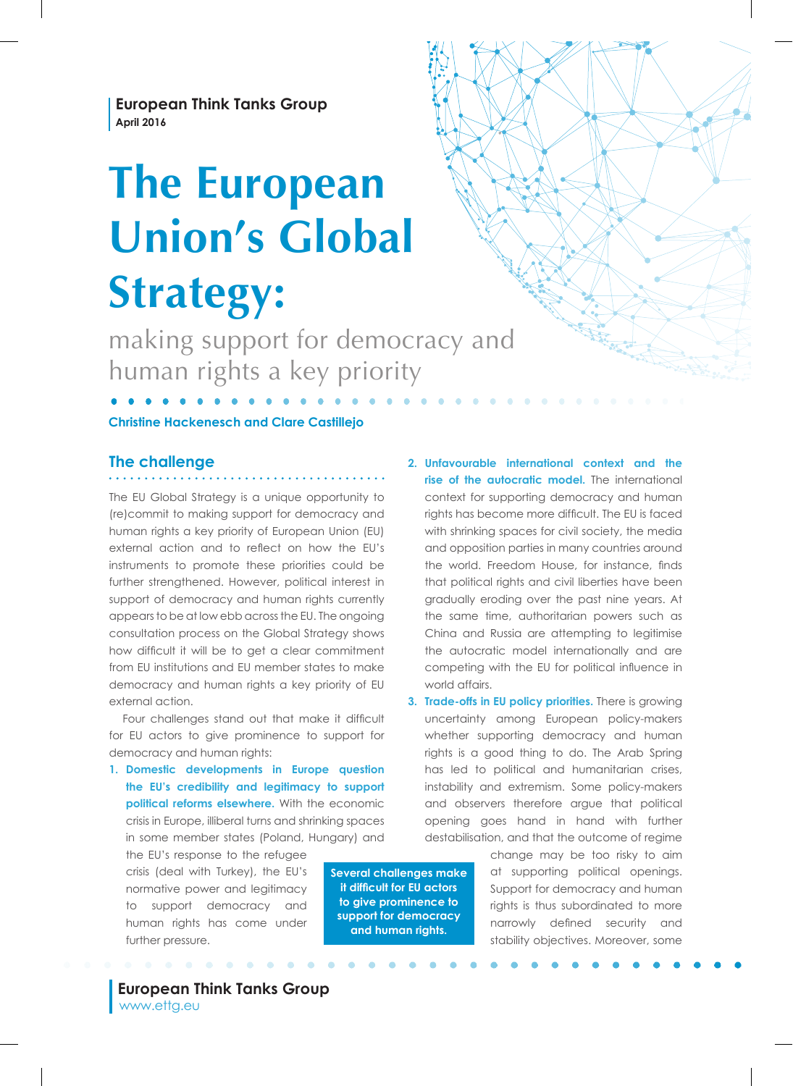**European Think Tanks Group April 2016**

# **The European Union's Global Strategy:**

making support for democracy and human rights a key priority

#### **Christine Hackenesch and Clare Castillejo**

## **The challenge**

The EU Global Strategy is a unique opportunity to (re)commit to making support for democracy and human rights a key priority of European Union (EU) external action and to refect on how the EU's instruments to promote these priorities could be further strengthened. However, political interest in support of democracy and human rights currently appears to be at low ebb across the EU. The ongoing consultation process on the Global Strategy shows how diffcult it will be to get a clear commitment from EU institutions and EU member states to make democracy and human rights a key priority of EU external action.

Four challenges stand out that make it difficult for EU actors to give prominence to support for democracy and human rights:

**1. Domestic developments in Europe question the EU's credibility and legitimacy to support political reforms elsewhere.** With the economic crisis in Europe, illiberal turns and shrinking spaces in some member states (Poland, Hungary) and

the EU's response to the refugee crisis (deal with Turkey), the EU's normative power and legitimacy to support democracy and human rights has come under further pressure.

**Several challenges make it diffcult for EU actors to give prominence to support for democracy and human rights.**

**2. Unfavourable international context and the rise of the autocratic model.** The international context for supporting democracy and human rights has become more diffcult. The EU is faced with shrinking spaces for civil society, the media and opposition parties in many countries around the world. Freedom House, for instance, fnds that political rights and civil liberties have been gradually eroding over the past nine years. At the same time, authoritarian powers such as China and Russia are attempting to legitimise the autocratic model internationally and are competing with the EU for political infuence in world affairs.

**3. Trade-offs in EU policy priorities.** There is growing uncertainty among European policy-makers whether supporting democracy and human rights is a good thing to do. The Arab Spring has led to political and humanitarian crises, instability and extremism. Some policy-makers and observers therefore argue that political opening goes hand in hand with further destabilisation, and that the outcome of regime

> change may be too risky to aim at supporting political openings. Support for democracy and human rights is thus subordinated to more narrowly defned security and stability objectives. Moreover, some

 **European Think Tanks Group** www.ettg.eu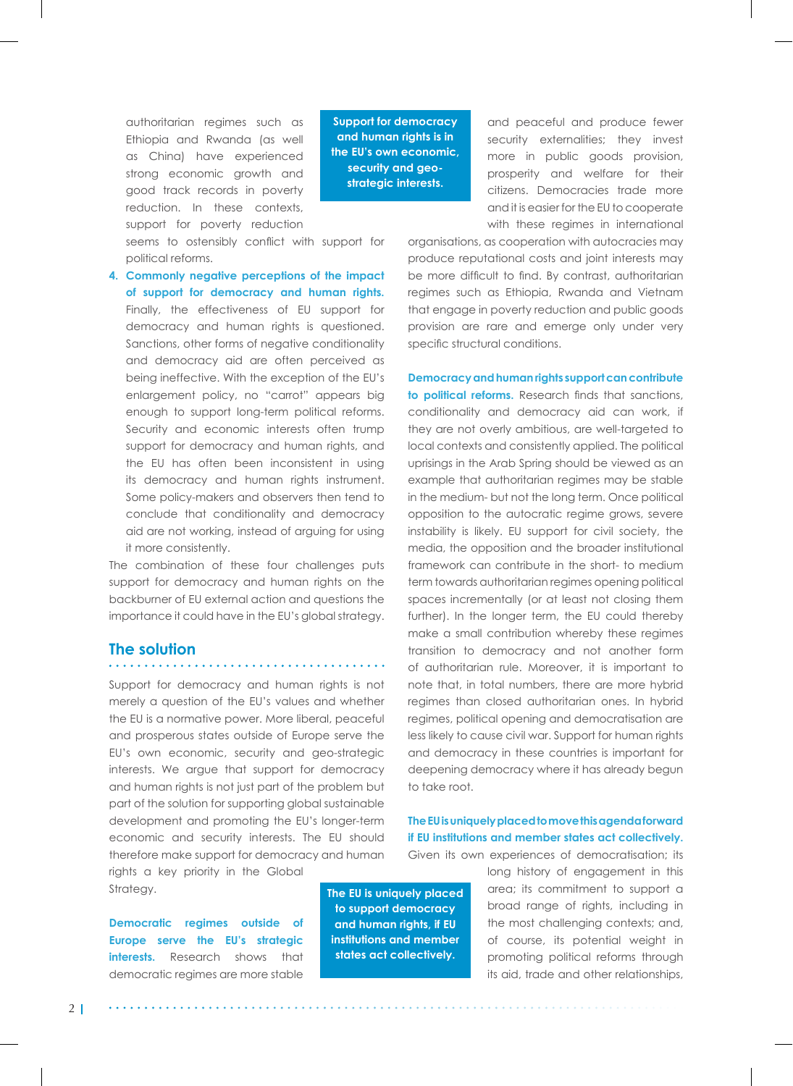authoritarian regimes such as Ethiopia and Rwanda (as well as China) have experienced strong economic growth and good track records in poverty reduction. In these contexts, support for poverty reduction

**Support for democracy and human rights is in the EU's own economic, security and geostrategic interests.** 

seems to ostensibly confict with support for political reforms.

**4. Commonly negative perceptions of the impact of support for democracy and human rights.**  Finally, the effectiveness of EU support for democracy and human rights is questioned. Sanctions, other forms of negative conditionality and democracy aid are often perceived as being ineffective. With the exception of the EU's enlargement policy, no "carrot" appears big enough to support long-term political reforms. Security and economic interests often trump support for democracy and human rights, and the EU has often been inconsistent in using its democracy and human rights instrument. Some policy-makers and observers then tend to conclude that conditionality and democracy aid are not working, instead of arguing for using it more consistently.

The combination of these four challenges puts support for democracy and human rights on the backburner of EU external action and questions the importance it could have in the EU's global strategy.

#### **The solution**

Support for democracy and human rights is not merely a question of the EU's values and whether the EU is a normative power. More liberal, peaceful and prosperous states outside of Europe serve the EU's own economic, security and geo-strategic interests. We argue that support for democracy and human rights is not just part of the problem but part of the solution for supporting global sustainable development and promoting the EU's longer-term economic and security interests. The EU should therefore make support for democracy and human

rights a key priority in the Global Strategy.

**Democratic regimes outside of Europe serve the EU's strategic interests.** Research shows that democratic regimes are more stable

**The EU is uniquely placed to support democracy and human rights, if EU institutions and member states act collectively.** 

and peaceful and produce fewer security externalities; they invest more in public goods provision, prosperity and welfare for their citizens. Democracies trade more and it is easier for the EU to cooperate with these regimes in international

organisations, as cooperation with autocracies may produce reputational costs and joint interests may be more difficult to find. By contrast, authoritarian regimes such as Ethiopia, Rwanda and Vietnam that engage in poverty reduction and public goods provision are rare and emerge only under very specific structural conditions.

**Democracy and human rights support can contribute to political reforms.** Research fnds that sanctions, conditionality and democracy aid can work, if they are not overly ambitious, are well-targeted to local contexts and consistently applied. The political uprisings in the Arab Spring should be viewed as an example that authoritarian regimes may be stable in the medium- but not the long term. Once political opposition to the autocratic regime grows, severe instability is likely. EU support for civil society, the media, the opposition and the broader institutional framework can contribute in the short- to medium term towards authoritarian regimes opening political spaces incrementally (or at least not closing them further). In the longer term, the EU could thereby make a small contribution whereby these regimes transition to democracy and not another form of authoritarian rule. Moreover, it is important to note that, in total numbers, there are more hybrid regimes than closed authoritarian ones. In hybrid regimes, political opening and democratisation are less likely to cause civil war. Support for human rights and democracy in these countries is important for deepening democracy where it has already begun to take root.

#### **The EU is uniquely placed to move this agenda forward if EU institutions and member states act collectively.** Given its own experiences of democratisation; its

long history of engagement in this area; its commitment to support a broad range of rights, including in the most challenging contexts; and, of course, its potential weight in promoting political reforms through its aid, trade and other relationships,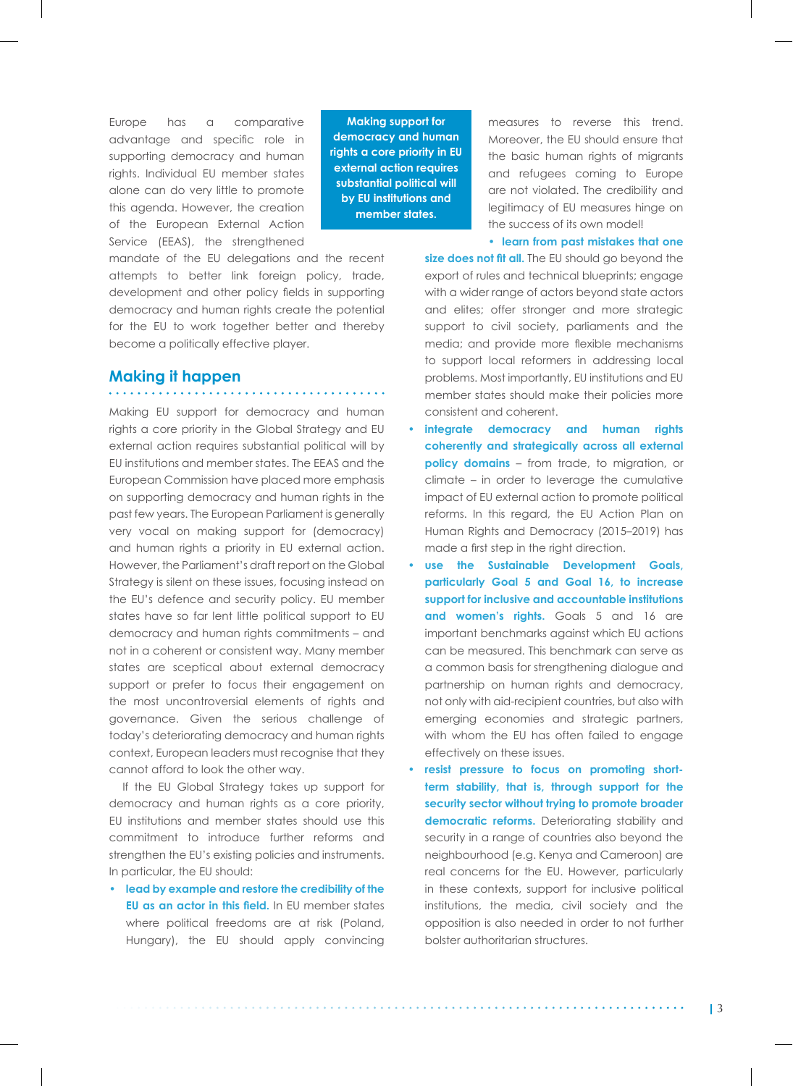Europe has a comparative advantage and specifc role in supporting democracy and human rights. Individual EU member states alone can do very little to promote this agenda. However, the creation of the European External Action Service (EEAS), the strengthened

mandate of the EU delegations and the recent attempts to better link foreign policy, trade, development and other policy felds in supporting democracy and human rights create the potential for the EU to work together better and thereby become a politically effective player.

### **Making it happen**

. . . . . . . . . . . . . . .

Making EU support for democracy and human rights a core priority in the Global Strategy and EU external action requires substantial political will by EU institutions and member states. The EEAS and the European Commission have placed more emphasis on supporting democracy and human rights in the past few years. The European Parliament is generally very vocal on making support for (democracy) and human rights a priority in EU external action. However, the Parliament's draft report on the Global Strategy is silent on these issues, focusing instead on the EU's defence and security policy. EU member states have so far lent little political support to EU democracy and human rights commitments – and not in a coherent or consistent way. Many member states are sceptical about external democracy support or prefer to focus their engagement on the most uncontroversial elements of rights and governance. Given the serious challenge of today's deteriorating democracy and human rights context, European leaders must recognise that they cannot afford to look the other way.

If the EU Global Strategy takes up support for democracy and human rights as a core priority, EU institutions and member states should use this commitment to introduce further reforms and strengthen the EU's existing policies and instruments. In particular, the EU should:

**• lead by example and restore the credibility of the EU as an actor in this feld.** In EU member states where political freedoms are at risk (Poland, Hungary), the EU should apply convincing

**Making support for democracy and human rights a core priority in EU external action requires substantial political will by EU institutions and member states.** 

measures to reverse this trend. Moreover, the EU should ensure that the basic human rights of migrants and refugees coming to Europe are not violated. The credibility and legitimacy of EU measures hinge on the success of its own model!

**• learn from past mistakes that one** 

size does not fit all. The EU should go beyond the export of rules and technical blueprints; engage with a wider range of actors beyond state actors and elites; offer stronger and more strategic support to civil society, parliaments and the media; and provide more fexible mechanisms to support local reformers in addressing local problems. Most importantly, EU institutions and EU member states should make their policies more consistent and coherent.

- **• integrate democracy and human rights coherently and strategically across all external policy domains** – from trade, to migration, or climate – in order to leverage the cumulative impact of EU external action to promote political reforms. In this regard, the EU Action Plan on Human Rights and Democracy (2015–2019) has made a frst step in the right direction.
- **• use the Sustainable Development Goals, particularly Goal 5 and Goal 16, to increase support for inclusive and accountable institutions**  and women's rights. Goals 5 and 16 are important benchmarks against which EU actions can be measured. This benchmark can serve as a common basis for strengthening dialogue and partnership on human rights and democracy, not only with aid-recipient countries, but also with emerging economies and strategic partners, with whom the EU has often failed to engage effectively on these issues.
- **• resist pressure to focus on promoting shortterm stability, that is, through support for the security sector without trying to promote broader**  democratic reforms. Deteriorating stability and security in a range of countries also beyond the neighbourhood (e.g. Kenya and Cameroon) are real concerns for the EU. However, particularly in these contexts, support for inclusive political institutions, the media, civil society and the opposition is also needed in order to not further bolster authoritarian structures.